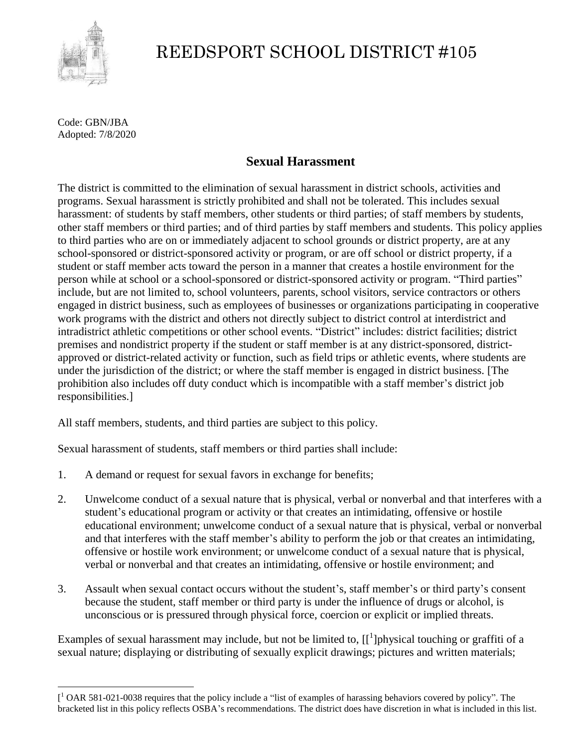

## REEDSPORT SCHOOL DISTRICT #105

Code: GBN/JBA Adopted: 7/8/2020

 $\overline{a}$ 

## **Sexual Harassment**

The district is committed to the elimination of sexual harassment in district schools, activities and programs. Sexual harassment is strictly prohibited and shall not be tolerated. This includes sexual harassment: of students by staff members, other students or third parties; of staff members by students, other staff members or third parties; and of third parties by staff members and students. This policy applies to third parties who are on or immediately adjacent to school grounds or district property, are at any school-sponsored or district-sponsored activity or program, or are off school or district property, if a student or staff member acts toward the person in a manner that creates a hostile environment for the person while at school or a school-sponsored or district-sponsored activity or program. "Third parties" include, but are not limited to, school volunteers, parents, school visitors, service contractors or others engaged in district business, such as employees of businesses or organizations participating in cooperative work programs with the district and others not directly subject to district control at interdistrict and intradistrict athletic competitions or other school events. "District" includes: district facilities; district premises and nondistrict property if the student or staff member is at any district-sponsored, districtapproved or district-related activity or function, such as field trips or athletic events, where students are under the jurisdiction of the district; or where the staff member is engaged in district business. [The prohibition also includes off duty conduct which is incompatible with a staff member's district job responsibilities.]

All staff members, students, and third parties are subject to this policy.

Sexual harassment of students, staff members or third parties shall include:

- 1. A demand or request for sexual favors in exchange for benefits;
- 2. Unwelcome conduct of a sexual nature that is physical, verbal or nonverbal and that interferes with a student's educational program or activity or that creates an intimidating, offensive or hostile educational environment; unwelcome conduct of a sexual nature that is physical, verbal or nonverbal and that interferes with the staff member's ability to perform the job or that creates an intimidating, offensive or hostile work environment; or unwelcome conduct of a sexual nature that is physical, verbal or nonverbal and that creates an intimidating, offensive or hostile environment; and
- 3. Assault when sexual contact occurs without the student's, staff member's or third party's consent because the student, staff member or third party is under the influence of drugs or alcohol, is unconscious or is pressured through physical force, coercion or explicit or implied threats.

Examples of sexual harassment may include, but not be limited to,  $[[^1]$ physical touching or graffiti of a sexual nature; displaying or distributing of sexually explicit drawings; pictures and written materials;

 $\left[ \begin{array}{c} 1 \end{array} \right]$  OAR 581-021-0038 requires that the policy include a "list of examples of harassing behaviors covered by policy". The bracketed list in this policy reflects OSBA's recommendations. The district does have discretion in what is included in this list.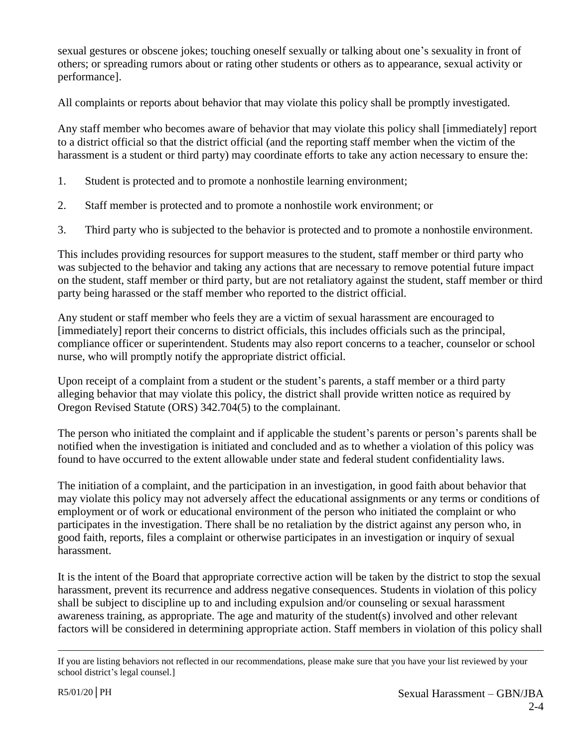sexual gestures or obscene jokes; touching oneself sexually or talking about one's sexuality in front of others; or spreading rumors about or rating other students or others as to appearance, sexual activity or performance].

All complaints or reports about behavior that may violate this policy shall be promptly investigated.

Any staff member who becomes aware of behavior that may violate this policy shall [immediately] report to a district official so that the district official (and the reporting staff member when the victim of the harassment is a student or third party) may coordinate efforts to take any action necessary to ensure the:

- 1. Student is protected and to promote a nonhostile learning environment;
- 2. Staff member is protected and to promote a nonhostile work environment; or
- 3. Third party who is subjected to the behavior is protected and to promote a nonhostile environment.

This includes providing resources for support measures to the student, staff member or third party who was subjected to the behavior and taking any actions that are necessary to remove potential future impact on the student, staff member or third party, but are not retaliatory against the student, staff member or third party being harassed or the staff member who reported to the district official.

Any student or staff member who feels they are a victim of sexual harassment are encouraged to [immediately] report their concerns to district officials, this includes officials such as the principal, compliance officer or superintendent. Students may also report concerns to a teacher, counselor or school nurse, who will promptly notify the appropriate district official.

Upon receipt of a complaint from a student or the student's parents, a staff member or a third party alleging behavior that may violate this policy, the district shall provide written notice as required by Oregon Revised Statute (ORS) 342.704(5) to the complainant.

The person who initiated the complaint and if applicable the student's parents or person's parents shall be notified when the investigation is initiated and concluded and as to whether a violation of this policy was found to have occurred to the extent allowable under state and federal student confidentiality laws.

The initiation of a complaint, and the participation in an investigation, in good faith about behavior that may violate this policy may not adversely affect the educational assignments or any terms or conditions of employment or of work or educational environment of the person who initiated the complaint or who participates in the investigation. There shall be no retaliation by the district against any person who, in good faith, reports, files a complaint or otherwise participates in an investigation or inquiry of sexual harassment.

It is the intent of the Board that appropriate corrective action will be taken by the district to stop the sexual harassment, prevent its recurrence and address negative consequences. Students in violation of this policy shall be subject to discipline up to and including expulsion and/or counseling or sexual harassment awareness training, as appropriate. The age and maturity of the student(s) involved and other relevant factors will be considered in determining appropriate action. Staff members in violation of this policy shall

 $\overline{a}$ If you are listing behaviors not reflected in our recommendations, please make sure that you have your list reviewed by your school district's legal counsel.]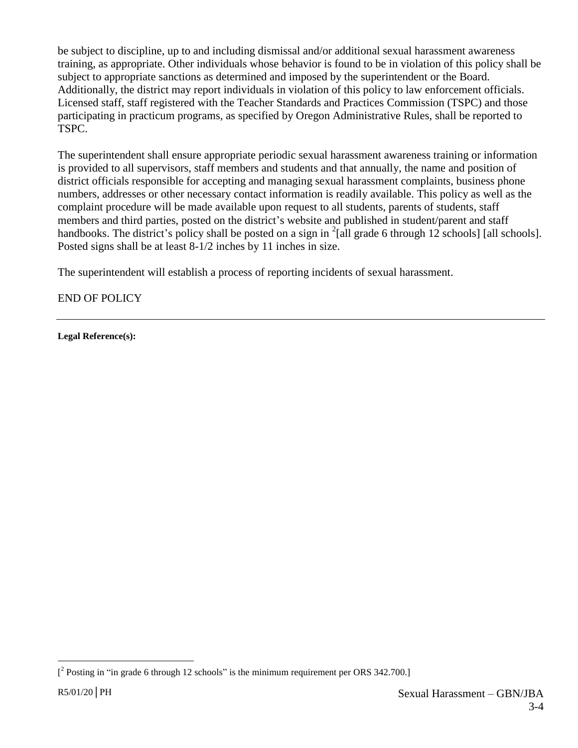be subject to discipline, up to and including dismissal and/or additional sexual harassment awareness training, as appropriate. Other individuals whose behavior is found to be in violation of this policy shall be subject to appropriate sanctions as determined and imposed by the superintendent or the Board. Additionally, the district may report individuals in violation of this policy to law enforcement officials. Licensed staff, staff registered with the Teacher Standards and Practices Commission (TSPC) and those participating in practicum programs, as specified by Oregon Administrative Rules, shall be reported to TSPC.

The superintendent shall ensure appropriate periodic sexual harassment awareness training or information is provided to all supervisors, staff members and students and that annually, the name and position of district officials responsible for accepting and managing sexual harassment complaints, business phone numbers, addresses or other necessary contact information is readily available. This policy as well as the complaint procedure will be made available upon request to all students, parents of students, staff members and third parties, posted on the district's website and published in student/parent and staff handbooks. The district's policy shall be posted on a sign in  $2$ [all grade 6 through 12 schools] [all schools]. Posted signs shall be at least 8-1/2 inches by 11 inches in size.

The superintendent will establish a process of reporting incidents of sexual harassment.

END OF POLICY

**Legal Reference(s):**

 $\overline{a}$ 

 $\int_{0}^{2}$  Posting in "in grade 6 through 12 schools" is the minimum requirement per ORS 342.700.]